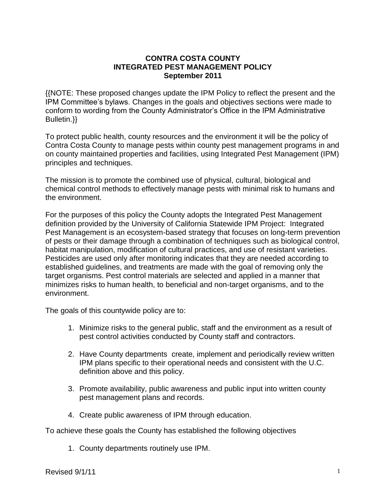### **CONTRA COSTA COUNTY INTEGRATED PEST MANAGEMENT POLICY September 2011**

{{NOTE: These proposed changes update the IPM Policy to reflect the present and the IPM Committee's bylaws. Changes in the goals and objectives sections were made to conform to wording from the County Administrator's Office in the IPM Administrative Bulletin.}}

To protect public health, county resources and the environment it will be the policy of Contra Costa County to manage pests within county pest management programs in and on county maintained properties and facilities, using Integrated Pest Management (IPM) principles and techniques.

The mission is to promote the combined use of physical, cultural, biological and chemical control methods to effectively manage pests with minimal risk to humans and the environment.

For the purposes of this policy the County adopts the Integrated Pest Management definition provided by the University of California Statewide IPM Project: Integrated Pest Management is an ecosystem-based strategy that focuses on long-term prevention of pests or their damage through a combination of techniques such as biological control, habitat manipulation, modification of cultural practices, and use of resistant varieties. Pesticides are used only after monitoring indicates that they are needed according to established guidelines, and treatments are made with the goal of removing only the target organisms. Pest control materials are selected and applied in a manner that minimizes risks to human health, to beneficial and non-target organisms, and to the environment.

The goals of this countywide policy are to:

- 1. Minimize risks to the general public, staff and the environment as a result of pest control activities conducted by County staff and contractors.
- 2. Have County departments create, implement and periodically review written IPM plans specific to their operational needs and consistent with the U.C. definition above and this policy.
- 3. Promote availability, public awareness and public input into written county pest management plans and records.
- 4. Create public awareness of IPM through education.

To achieve these goals the County has established the following objectives

1. County departments routinely use IPM.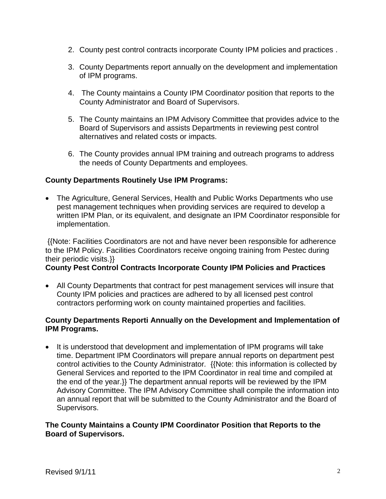- 2. County pest control contracts incorporate County IPM policies and practices .
- 3. County Departments report annually on the development and implementation of IPM programs.
- 4. The County maintains a County IPM Coordinato*r* position that reports to the County Administrator and Board of Supervisors.
- 5. The County maintains an IPM Advisory Committee that provides advice to the Board of Supervisors and assists Departments in reviewing pest control alternatives and related costs or impacts.
- 6. The County provides annual IPM training and outreach programs to address the needs of County Departments and employees.

# **County Departments Routinely Use IPM Programs:**

 The Agriculture, General Services, Health and Public Works Departments who use pest management techniques when providing services are required to develop a written IPM Plan, or its equivalent, and designate an IPM Coordinator responsible for implementation.

{{Note: Facilities Coordinators are not and have never been responsible for adherence to the IPM Policy. Facilities Coordinators receive ongoing training from Pestec during their periodic visits.}}

# **County Pest Control Contracts Incorporate County IPM Policies and Practices**

 All County Departments that contract for pest management services will insure that County IPM policies and practices are adhered to by all licensed pest control contractors performing work on county maintained properties and facilities.

#### **County Departments Reporti Annually on the Development and Implementation of IPM Programs.**

• It is understood that development and implementation of IPM programs will take time. Department IPM Coordinators will prepare annual reports on department pest control activities to the County Administrator*.* {{Note: this information is collected by General Services and reported to the IPM Coordinator in real time and compiled at the end of the year.}} The department annual reports will be reviewed by the IPM Advisory Committee. The IPM Advisory Committee shall compile the information into an annual report that will be submitted to the County Administrator and the Board of Supervisors.

# **The County Maintains a County IPM Coordinator Position that Reports to the Board of Supervisors.**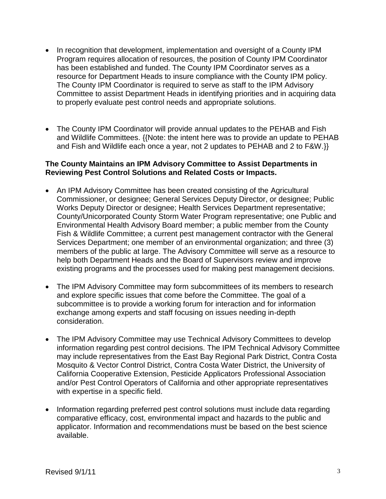- In recognition that development, implementation and oversight of a County IPM Program requires allocation of resources, the position of County IPM Coordinator has been established and funded. The County IPM Coordinator serves as a resource for Department Heads to insure compliance with the County IPM policy. The County IPM Coordinator is required to serve as staff to the IPM Advisory Committee to assist Department Heads in identifying priorities and in acquiring data to properly evaluate pest control needs and appropriate solutions.
- The County IPM Coordinator will provide annual updates to the PEHAB and Fish and Wildlife Committees. {{Note: the intent here was to provide an update to PEHAB and Fish and Wildlife each once a year, not 2 updates to PEHAB and 2 to F&W.}}

## **The County Maintains an IPM Advisory Committee to Assist Departments in Reviewing Pest Control Solutions and Related Costs or Impacts.**

- An IPM Advisory Committee has been created consisting of the Agricultural Commissioner, or designee; General Services Deputy Director, or designee; Public Works Deputy Director or designee; Health Services Department representative; County/Unicorporated County Storm Water Program representative; one Public and Environmental Health Advisory Board member; a public member from the County Fish & Wildlife Committee; a current pest management contractor with the General Services Department; one member of an environmental organization; and three (3) members of the public at large. The Advisory Committee will serve as a resource to help both Department Heads and the Board of Supervisors review and improve existing programs and the processes used for making pest management decisions.
- The IPM Advisory Committee may form subcommittees of its members to research and explore specific issues that come before the Committee. The goal of a subcommittee is to provide a working forum for interaction and for information exchange among experts and staff focusing on issues needing in-depth consideration.
- The IPM Advisory Committee may use Technical Advisory Committees to develop information regarding pest control decisions. The IPM Technical Advisory Committee may include representatives from the East Bay Regional Park District, Contra Costa Mosquito & Vector Control District, Contra Costa Water District, the University of California Cooperative Extension, Pesticide Applicators Professional Association and/or Pest Control Operators of California and other appropriate representatives with expertise in a specific field.
- Information regarding preferred pest control solutions must include data regarding comparative efficacy, cost, environmental impact and hazards to the public and applicator. Information and recommendations must be based on the best science available.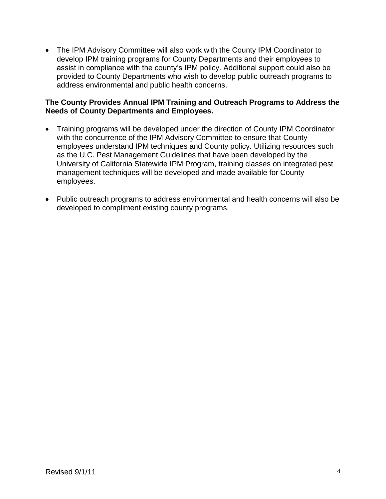The IPM Advisory Committee will also work with the County IPM Coordinator to develop IPM training programs for County Departments and their employees to assist in compliance with the county's IPM policy. Additional support could also be provided to County Departments who wish to develop public outreach programs to address environmental and public health concerns.

# **The County Provides Annual IPM Training and Outreach Programs to Address the Needs of County Departments and Employees.**

- Training programs will be developed under the direction of County IPM Coordinator with the concurrence of the IPM Advisory Committee to ensure that County employees understand IPM techniques and County policy. Utilizing resources such as the U.C. Pest Management Guidelines that have been developed by the University of California Statewide IPM Program, training classes on integrated pest management techniques will be developed and made available for County employees.
- Public outreach programs to address environmental and health concerns will also be developed to compliment existing county programs.